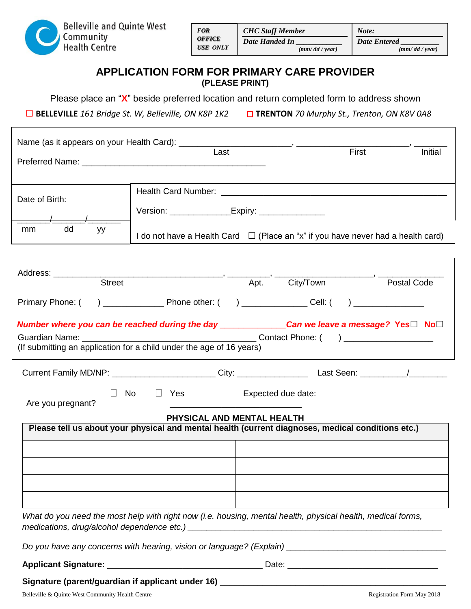

|            | <b>CHC</b> Staff Member | Note:                   |  |
|------------|-------------------------|-------------------------|--|
| <b>ICE</b> | Date Handed In          | <b>Date Entered</b>     |  |
| : ONLY     | $(mm/dd / \text{year})$ | $(mm/dd / \text{year})$ |  |

## **APPLICATION FORM FOR PRIMARY CARE PROVIDER (PLEASE PRINT)**

Please place an "**X**" beside preferred location and return completed form to address shown

**□ BELLEVILLE** *161 Bridge St. W, Belleville, ON K8P 1K2* □ **TRENTON** *70 Murphy St., Trenton, ON K8V 0A8*

|                                                                                                                                            | Last                                                                                                        |                    | First <b>First</b> | <b>Initial</b> |  |  |  |
|--------------------------------------------------------------------------------------------------------------------------------------------|-------------------------------------------------------------------------------------------------------------|--------------------|--------------------|----------------|--|--|--|
|                                                                                                                                            |                                                                                                             |                    |                    |                |  |  |  |
|                                                                                                                                            |                                                                                                             |                    |                    |                |  |  |  |
| Date of Birth:                                                                                                                             |                                                                                                             |                    |                    |                |  |  |  |
|                                                                                                                                            | Version: __________________Expiry: __________________                                                       |                    |                    |                |  |  |  |
| dd<br><sub>mm</sub><br>уy                                                                                                                  |                                                                                                             |                    |                    |                |  |  |  |
|                                                                                                                                            | I do not have a Health Card $\Box$ (Place an "x" if you have never had a health card)                       |                    |                    |                |  |  |  |
|                                                                                                                                            |                                                                                                             |                    |                    |                |  |  |  |
|                                                                                                                                            |                                                                                                             |                    |                    |                |  |  |  |
| Address: __________                                                                                                                        | Street Apt. City/Town                                                                                       |                    |                    | Postal Code    |  |  |  |
|                                                                                                                                            |                                                                                                             |                    |                    |                |  |  |  |
| Primary Phone: (                                                                                                                           |                                                                                                             |                    |                    |                |  |  |  |
| Number where you can be reached during the day ______________Can we leave a message? Yes□ No□                                              |                                                                                                             |                    |                    |                |  |  |  |
|                                                                                                                                            |                                                                                                             |                    |                    |                |  |  |  |
| (If submitting an application for a child under the age of 16 years)                                                                       |                                                                                                             |                    |                    |                |  |  |  |
|                                                                                                                                            |                                                                                                             |                    |                    |                |  |  |  |
|                                                                                                                                            | $\Box$ No $\Box$ Yes                                                                                        | Expected due date: |                    |                |  |  |  |
| Are you pregnant?<br><u> 1989 - Johann Barbara, martin amerikan basar dan berasal dan berasal dalam basar dalam basar dalam basar dala</u> |                                                                                                             |                    |                    |                |  |  |  |
|                                                                                                                                            | PHYSICAL AND MENTAL HEALTH                                                                                  |                    |                    |                |  |  |  |
| Please tell us about your physical and mental health (current diagnoses, medical conditions etc.)                                          |                                                                                                             |                    |                    |                |  |  |  |
|                                                                                                                                            |                                                                                                             |                    |                    |                |  |  |  |
|                                                                                                                                            |                                                                                                             |                    |                    |                |  |  |  |
|                                                                                                                                            |                                                                                                             |                    |                    |                |  |  |  |
|                                                                                                                                            |                                                                                                             |                    |                    |                |  |  |  |
|                                                                                                                                            |                                                                                                             |                    |                    |                |  |  |  |
|                                                                                                                                            |                                                                                                             |                    |                    |                |  |  |  |
|                                                                                                                                            | What do you need the most help with right now (i.e. housing, mental health, physical health, medical forms, |                    |                    |                |  |  |  |
|                                                                                                                                            |                                                                                                             |                    |                    |                |  |  |  |
|                                                                                                                                            |                                                                                                             |                    |                    |                |  |  |  |

Belleville & Quinte West Community Health Centre Registration Form May 2018